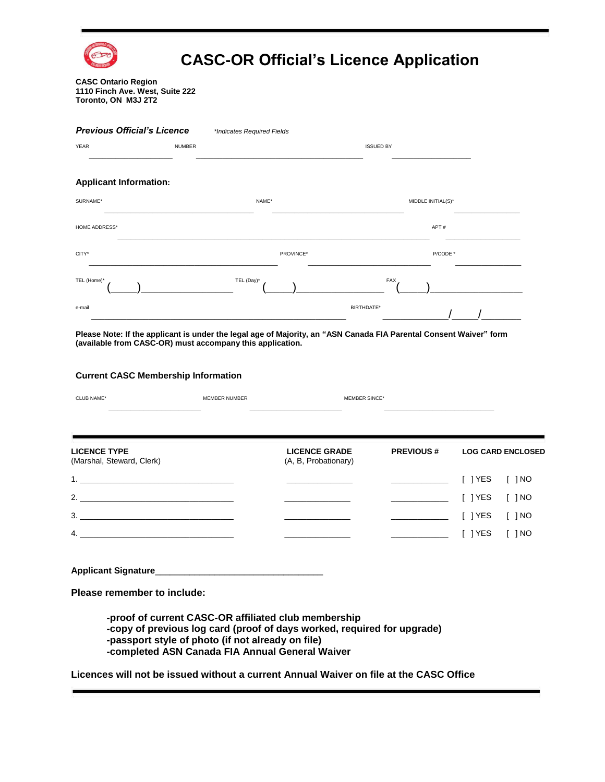

# **CASC-OR Official's Licence Application**

#### **CASC Ontario Region 1110 Finch Ave. West, Suite 222 Toronto, ON M3J 2T2**

#### *Previous Official's Licence \*Indicates Required Fields*  YEAR  $\_$ NUMBER \_\_\_\_\_\_\_\_\_\_\_\_\_\_\_\_\_\_\_\_\_\_\_\_\_\_\_\_\_\_\_\_\_\_\_\_\_\_ ISSUED BY  $\_$ **Applicant Information:** SURNAME\* \_\_\_\_\_\_\_\_\_\_\_\_\_\_\_\_\_\_\_\_\_\_\_\_\_\_\_\_\_\_\_\_\_\_ NAME\* \_\_\_\_\_\_\_\_\_\_\_\_\_\_\_\_\_\_\_\_\_\_\_\_\_\_\_\_\_\_ MIDDLE INITIAL(S)\*  $\overline{\phantom{a}}$  , where  $\overline{\phantom{a}}$ HOME ADDRESS  $\_$  , and the set of the set of the set of the set of the set of the set of the set of the set of the set of the set of the set of the set of the set of the set of the set of the set of the set of the set of the set of th APT #  $\_$ CITY\* \_\_\_\_\_\_\_\_\_\_\_\_\_\_\_\_\_\_\_\_\_\_\_\_\_\_\_\_\_\_\_\_\_\_\_\_\_\_\_\_\_\_\_ PROVINCE\* \_\_\_\_\_\_\_\_\_\_\_\_\_\_\_\_\_\_\_\_\_\_\_\_\_\_\_\_ P/CODE \*  $\overline{\phantom{a}}$  , where  $\overline{\phantom{a}}$  , where  $\overline{\phantom{a}}$ TEL (Home)\*  $\frac{1}{2}$  and  $\frac{1}{2}$  and  $\frac{1}{2}$  and  $\frac{1}{2}$  and  $\frac{1}{2}$  and  $\frac{1}{2}$  and  $\frac{1}{2}$  and  $\frac{1}{2}$  and  $\frac{1}{2}$  and  $\frac{1}{2}$  and  $\frac{1}{2}$  and  $\frac{1}{2}$  and  $\frac{1}{2}$  and  $\frac{1}{2}$  and  $\frac{1}{2}$  and  $\frac{1}{2}$  a TEL (Day)\*  $(\_\_)$ FAX  $\frac{1}{2}$   $\frac{1}{2}$   $\frac{1}{2}$   $\frac{1}{2}$   $\frac{1}{2}$   $\frac{1}{2}$   $\frac{1}{2}$   $\frac{1}{2}$   $\frac{1}{2}$   $\frac{1}{2}$   $\frac{1}{2}$   $\frac{1}{2}$   $\frac{1}{2}$   $\frac{1}{2}$   $\frac{1}{2}$   $\frac{1}{2}$   $\frac{1}{2}$   $\frac{1}{2}$   $\frac{1}{2}$   $\frac{1}{2}$   $\frac{1}{2}$   $\frac{1}{2}$  e-mai \_\_\_\_\_\_\_\_\_\_\_\_\_\_\_\_\_\_\_\_\_\_\_\_\_\_\_\_\_\_\_\_\_\_\_\_\_\_\_\_\_\_\_\_\_\_\_\_\_\_\_\_\_\_\_\_\_\_ BIRTHDATE\* \_\_\_\_\_\_\_\_\_\_\_\_\_\_\_/\_\_\_\_\_\_/\_\_\_\_\_\_\_\_\_

**Please Note: If the applicant is under the legal age of Majority, an "ASN Canada FIA Parental Consent Waiver" form (available from CASC-OR) must accompany this application.**

#### **Current CASC Membership Information**

| <b>UB NAME</b> | <b>IVI.</b> | <b>SING</b> |
|----------------|-------------|-------------|
|                |             |             |
|                |             |             |

| <b>LICENCE TYPE</b><br>(Marshal, Steward, Clerk) | <b>LICENCE GRADE</b><br>(A, B, Probationary) | <b>PREVIOUS#</b> | <b>LOG CARD ENCLOSED</b>                                                                                                                                                                                                                                                                                                                                                                                                                                  |
|--------------------------------------------------|----------------------------------------------|------------------|-----------------------------------------------------------------------------------------------------------------------------------------------------------------------------------------------------------------------------------------------------------------------------------------------------------------------------------------------------------------------------------------------------------------------------------------------------------|
|                                                  |                                              |                  | $\overline{\hspace{1cm}}$ $\overline{\hspace{1cm}}$ $\overline{\hspace{1cm}}$ $\overline{\hspace{1cm}}$ $\overline{\hspace{1cm}}$ $\overline{\hspace{1cm}}$ $\overline{\hspace{1cm}}$ $\overline{\hspace{1cm}}$ $\overline{\hspace{1cm}}$ $\overline{\hspace{1cm}}$ $\overline{\hspace{1cm}}$ $\overline{\hspace{1cm}}$ $\overline{\hspace{1cm}}$ $\overline{\hspace{1cm}}$ $\overline{\hspace{1cm}}$ $\overline{\hspace{1cm}}$ $\overline{\hspace{1cm}}$ |
| 2.                                               |                                              |                  | $\sqrt{1 + 1}$ $\sqrt{1 + 1}$ $\sqrt{1 + 1}$ $\sqrt{1 + 1}$ $\sqrt{1 + 1}$ $\sqrt{1 + 1}$ $\sqrt{1 + 1}$ $\sqrt{1 + 1}$ $\sqrt{1 + 1}$ $\sqrt{1 + 1}$ $\sqrt{1 + 1}$ $\sqrt{1 + 1}$ $\sqrt{1 + 1}$ $\sqrt{1 + 1}$ $\sqrt{1 + 1}$ $\sqrt{1 + 1}$ $\sqrt{1 + 1}$ $\sqrt{1 + 1}$ $\sqrt{1 + 1}$ $\sqrt{1 + 1}$                                                                                                                                               |
| 3.                                               |                                              |                  | $\sqrt{1 + 1}$ $\sqrt{1 + 1}$ $\sqrt{1 + 1}$ $\sqrt{1 + 1}$ $\sqrt{1 + 1}$ $\sqrt{1 + 1}$ $\sqrt{1 + 1}$ $\sqrt{1 + 1}$ $\sqrt{1 + 1}$ $\sqrt{1 + 1}$ $\sqrt{1 + 1}$ $\sqrt{1 + 1}$ $\sqrt{1 + 1}$ $\sqrt{1 + 1}$ $\sqrt{1 + 1}$ $\sqrt{1 + 1}$ $\sqrt{1 + 1}$ $\sqrt{1 + 1}$ $\sqrt{1 + 1}$ $\sqrt{1 + 1}$                                                                                                                                               |
| 4.                                               |                                              |                  | I IYES<br>$\lceil$ 1 NO                                                                                                                                                                                                                                                                                                                                                                                                                                   |

**Applicant Signature**\_\_\_\_\_\_\_\_\_\_\_\_\_\_\_\_\_\_\_\_\_\_\_\_\_\_\_\_\_\_\_\_\_\_

**Please remember to include:**

**-proof of current CASC-OR affiliated club membership -copy of previous log card (proof of days worked, required for upgrade) -passport style of photo (if not already on file) -completed ASN Canada FIA Annual General Waiver**

**Licences will not be issued without a current Annual Waiver on file at the CASC Office**